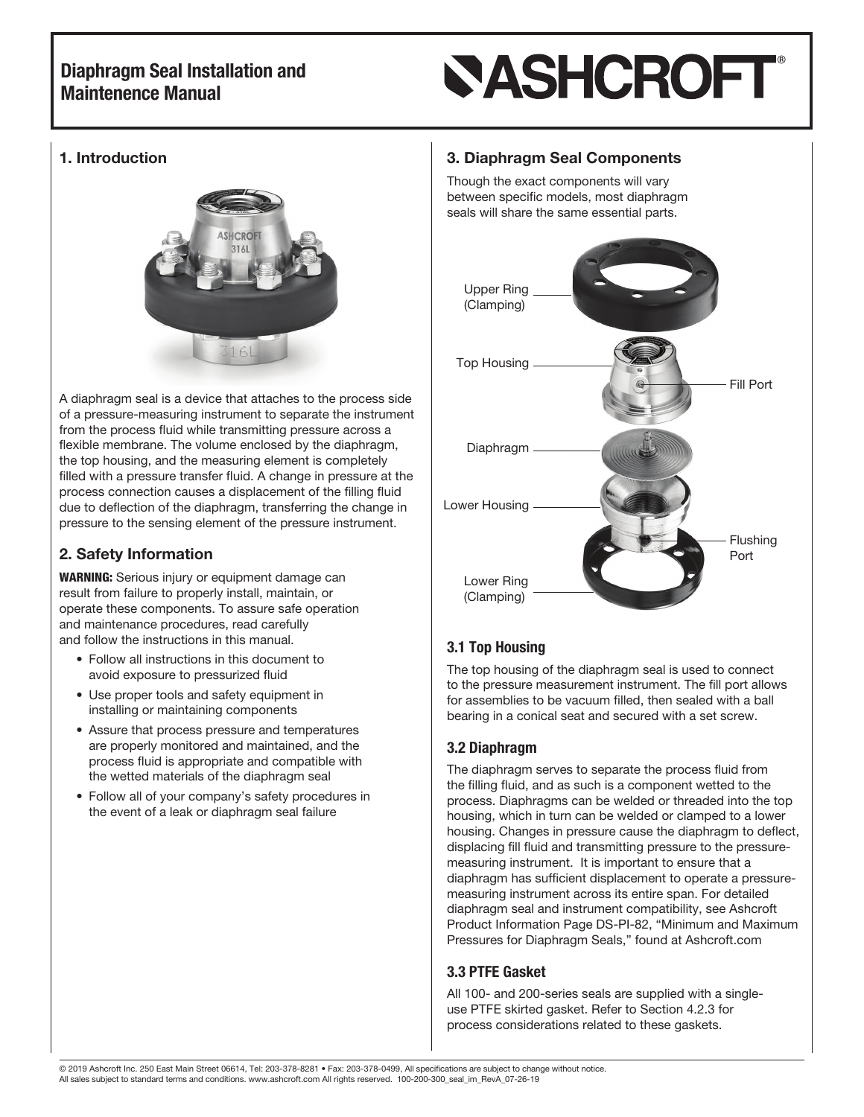# **SASHCROFT**

### 1. Introduction



A diaphragm seal is a device that attaches to the process side of a pressure-measuring instrument to separate the instrument from the process fluid while transmitting pressure across a flexible membrane. The volume enclosed by the diaphragm, the top housing, and the measuring element is completely filled with a pressure transfer fluid. A change in pressure at the process connection causes a displacement of the filling fluid due to deflection of the diaphragm, transferring the change in pressure to the sensing element of the pressure instrument.

## 2. Safety Information

WARNING: Serious injury or equipment damage can result from failure to properly install, maintain, or operate these components. To assure safe operation and maintenance procedures, read carefully and follow the instructions in this manual.

- Follow all instructions in this document to avoid exposure to pressurized fluid
- Use proper tools and safety equipment in installing or maintaining components
- Assure that process pressure and temperatures are properly monitored and maintained, and the process fluid is appropriate and compatible with the wetted materials of the diaphragm seal
- Follow all of your company's safety procedures in the event of a leak or diaphragm seal failure

### 3. Diaphragm Seal Components

Though the exact components will vary between specific models, most diaphragm seals will share the same essential parts.



## 3.1 Top Housing

The top housing of the diaphragm seal is used to connect to the pressure measurement instrument. The fill port allows for assemblies to be vacuum filled, then sealed with a ball bearing in a conical seat and secured with a set screw.

### 3.2 Diaphragm

The diaphragm serves to separate the process fluid from the filling fluid, and as such is a component wetted to the process. Diaphragms can be welded or threaded into the top housing, which in turn can be welded or clamped to a lower housing. Changes in pressure cause the diaphragm to deflect, displacing fill fluid and transmitting pressure to the pressuremeasuring instrument. It is important to ensure that a diaphragm has sufficient displacement to operate a pressuremeasuring instrument across its entire span. For detailed diaphragm seal and instrument compatibility, see Ashcroft Product Information Page DS-PI-82, "Minimum and Maximum Pressures for Diaphragm Seals," found at Ashcroft.com

### 3.3 PTFE Gasket

All 100- and 200-series seals are supplied with a singleuse PTFE skirted gasket. Refer to Section 4.2.3 for process considerations related to these gaskets.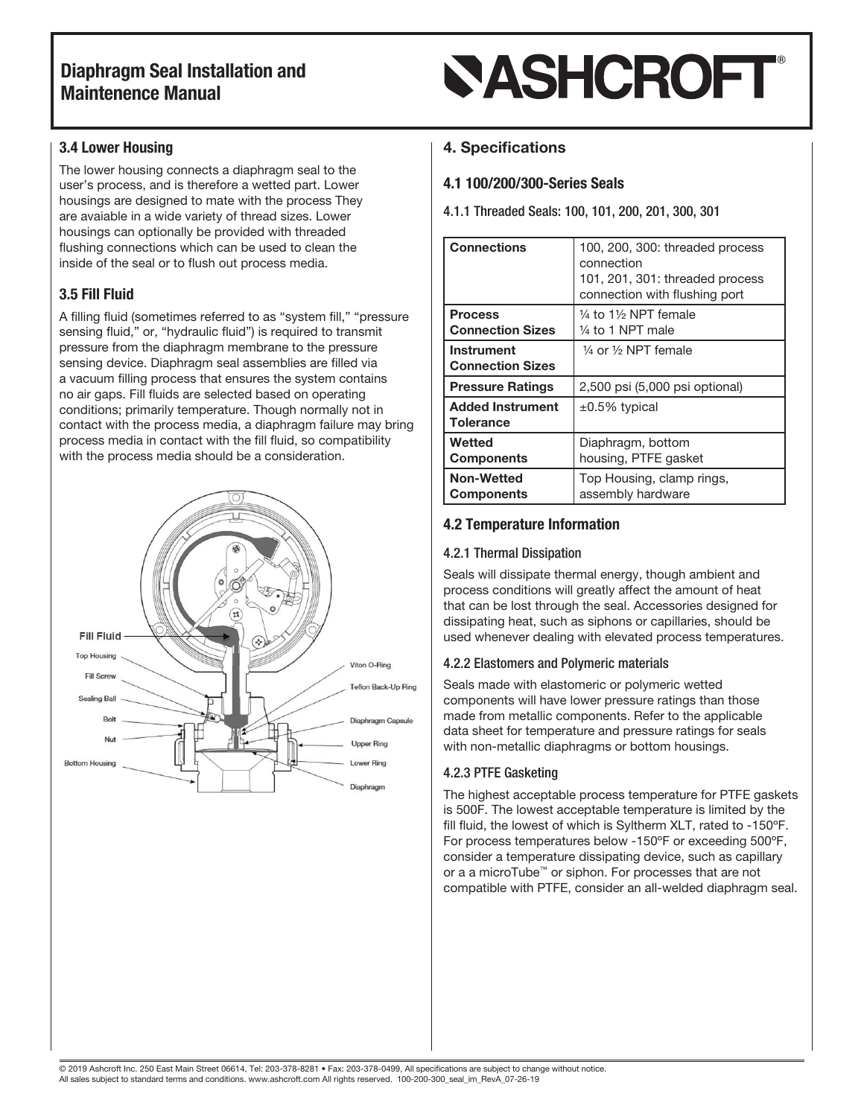# **SASHCROFT®**

### 3.4 Lower Housing

The lower housing connects a diaphragm seal to the user's process, and is therefore a wetted part. Lower housings are designed to mate with the process They are avaiable in a wide variety of thread sizes. Lower housings can optionally be provided with threaded flushing connections which can be used to clean the inside of the seal or to flush out process media.

### 3.5 Fill Fluid

A filling fluid (sometimes referred to as "system fill," "pressure sensing fluid," or, "hydraulic fluid") is required to transmit pressure from the diaphragm membrane to the pressure sensing device. Diaphragm seal assemblies are filled via a vacuum filling process that ensures the system contains no air gaps. Fill fluids are selected based on operating conditions; primarily temperature. Though normally not in contact with the process media, a diaphragm failure may bring process media in contact with the fill fluid, so compatibility with the process media should be a consideration.



### 4. Specifications

### 4.1 100/200/300-Series Seals

4.1.1 Threaded Seals: 100, 101, 200, 201, 300, 301

| <b>Connections</b>                           | 100, 200, 300: threaded process<br>connection<br>101, 201, 301: threaded process<br>connection with flushing port |
|----------------------------------------------|-------------------------------------------------------------------------------------------------------------------|
| <b>Process</b><br><b>Connection Sizes</b>    | 1⁄4 to 11⁄2 NPT female<br>1⁄4 to 1 NPT male                                                                       |
| <b>Instrument</b><br><b>Connection Sizes</b> | $\frac{1}{4}$ or $\frac{1}{2}$ NPT female                                                                         |
| <b>Pressure Ratings</b>                      | 2,500 psi (5,000 psi optional)                                                                                    |
| <b>Added Instrument</b><br>Tolerance         | $\pm 0.5\%$ typical                                                                                               |
| Wetted<br><b>Components</b>                  | Diaphragm, bottom<br>housing, PTFE gasket                                                                         |
| <b>Non-Wetted</b><br><b>Components</b>       | Top Housing, clamp rings,<br>assembly hardware                                                                    |

### 4.2 Temperature Information

#### 4.2.1 Thermal Dissipation

Seals will dissipate thermal energy, though ambient and process conditions will greatly affect the amount of heat that can be lost through the seal. Accessories designed for dissipating heat, such as siphons or capillaries, should be used whenever dealing with elevated process temperatures.

### 4.2.2 Elastomers and Polymeric materials

Seals made with elastomeric or polymeric wetted components will have lower pressure ratings than those made from metallic components. Refer to the applicable data sheet for temperature and pressure ratings for seals with non-metallic diaphragms or bottom housings.

### 4.2.3 PTFE Gasketing

The highest acceptable process temperature for PTFE gaskets is 500F. The lowest acceptable temperature is limited by the fill fluid, the lowest of which is Syltherm XLT, rated to -150ºF. For process temperatures below -150ºF or exceeding 500ºF, consider a temperature dissipating device, such as capillary or a a microTube™ or siphon. For processes that are not compatible with PTFE, consider an all-welded diaphragm seal.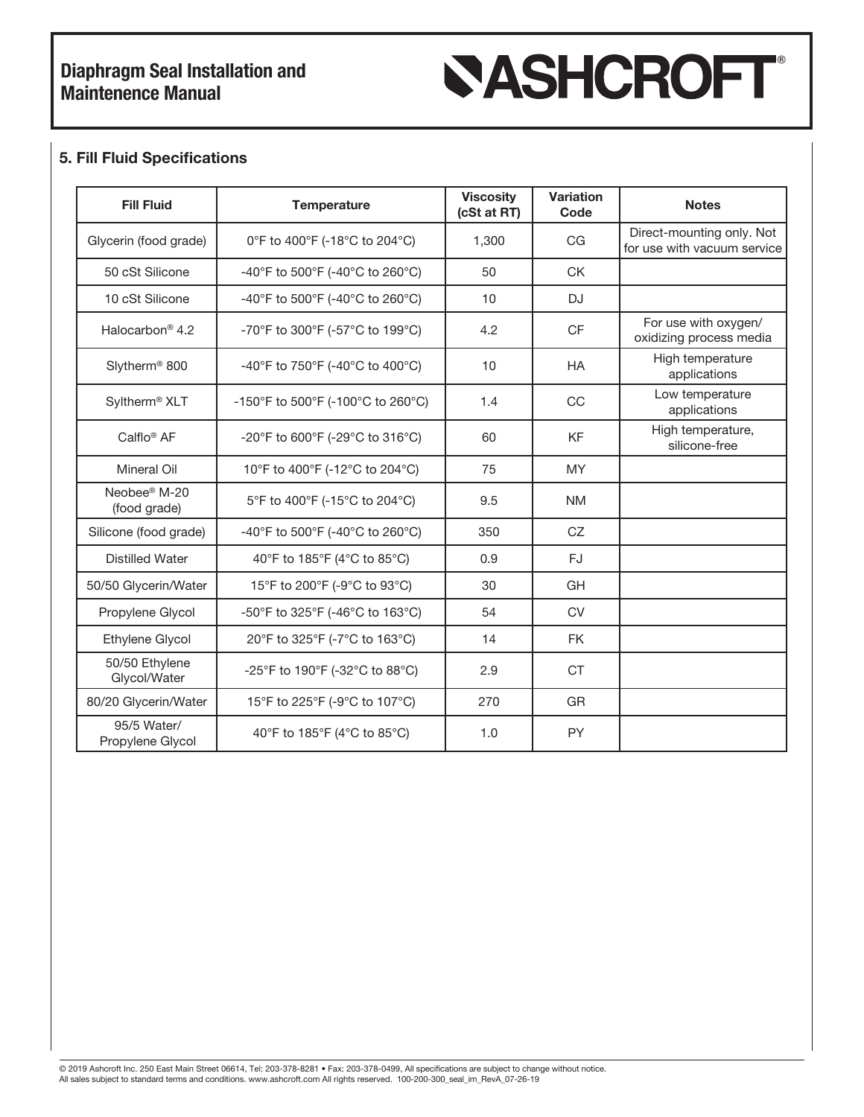# **SASHCROFT®**

### 5. Fill Fluid Specifications

| <b>Fill Fluid</b>                                      | <b>Temperature</b>                | <b>Viscosity</b><br>(cSt at RT) | <b>Variation</b><br>Code | <b>Notes</b>                                             |
|--------------------------------------------------------|-----------------------------------|---------------------------------|--------------------------|----------------------------------------------------------|
| Glycerin (food grade)<br>0°F to 400°F (-18°C to 204°C) |                                   | 1,300                           | CG                       | Direct-mounting only. Not<br>for use with vacuum service |
| 50 cSt Silicone<br>-40°F to 500°F (-40°C to 260°C)     |                                   | 50                              | <b>CK</b>                |                                                          |
| 10 cSt Silicone                                        | -40°F to 500°F (-40°C to 260°C)   |                                 | <b>DJ</b>                |                                                          |
| Halocarbon <sup>®</sup> 4.2                            | -70°F to 300°F (-57°C to 199°C)   | 4.2                             | <b>CF</b>                | For use with oxygen/<br>oxidizing process media          |
| Slytherm <sup>®</sup> 800                              | -40°F to 750°F (-40°C to 400°C)   | 10                              | <b>HA</b>                | High temperature<br>applications                         |
| Syltherm <sup>®</sup> XLT                              | -150°F to 500°F (-100°C to 260°C) | 1.4                             | CC                       | Low temperature<br>applications                          |
| Calflo <sup>®</sup> AF                                 | -20°F to 600°F (-29°C to 316°C)   | 60                              | <b>KF</b>                | High temperature,<br>silicone-free                       |
| <b>Mineral Oil</b>                                     | 10°F to 400°F (-12°C to 204°C)    | 75                              | <b>MY</b>                |                                                          |
| Neobee® M-20<br>(food grade)                           | 5°F to 400°F (-15°C to 204°C)     | 9.5                             | <b>NM</b>                |                                                          |
| Silicone (food grade)                                  | -40°F to 500°F (-40°C to 260°C)   | 350                             | CZ                       |                                                          |
| <b>Distilled Water</b>                                 | 40°F to 185°F (4°C to 85°C)       | 0.9                             | FJ                       |                                                          |
| 50/50 Glycerin/Water                                   | 15°F to 200°F (-9°C to 93°C)      | 30                              | GH                       |                                                          |
| Propylene Glycol                                       | -50°F to 325°F (-46°C to 163°C)   | 54                              | <b>CV</b>                |                                                          |
| Ethylene Glycol                                        | 20°F to 325°F (-7°C to 163°C)     | 14                              | <b>FK</b>                |                                                          |
| 50/50 Ethylene<br>Glycol/Water                         | -25°F to 190°F (-32°C to 88°C)    | 2.9                             | <b>CT</b>                |                                                          |
| 80/20 Glycerin/Water                                   | 15°F to 225°F (-9°C to 107°C)     | 270                             | <b>GR</b>                |                                                          |
| 95/5 Water/<br>Propylene Glycol                        | 40°F to 185°F (4°C to 85°C)       | 1.0                             | <b>PY</b>                |                                                          |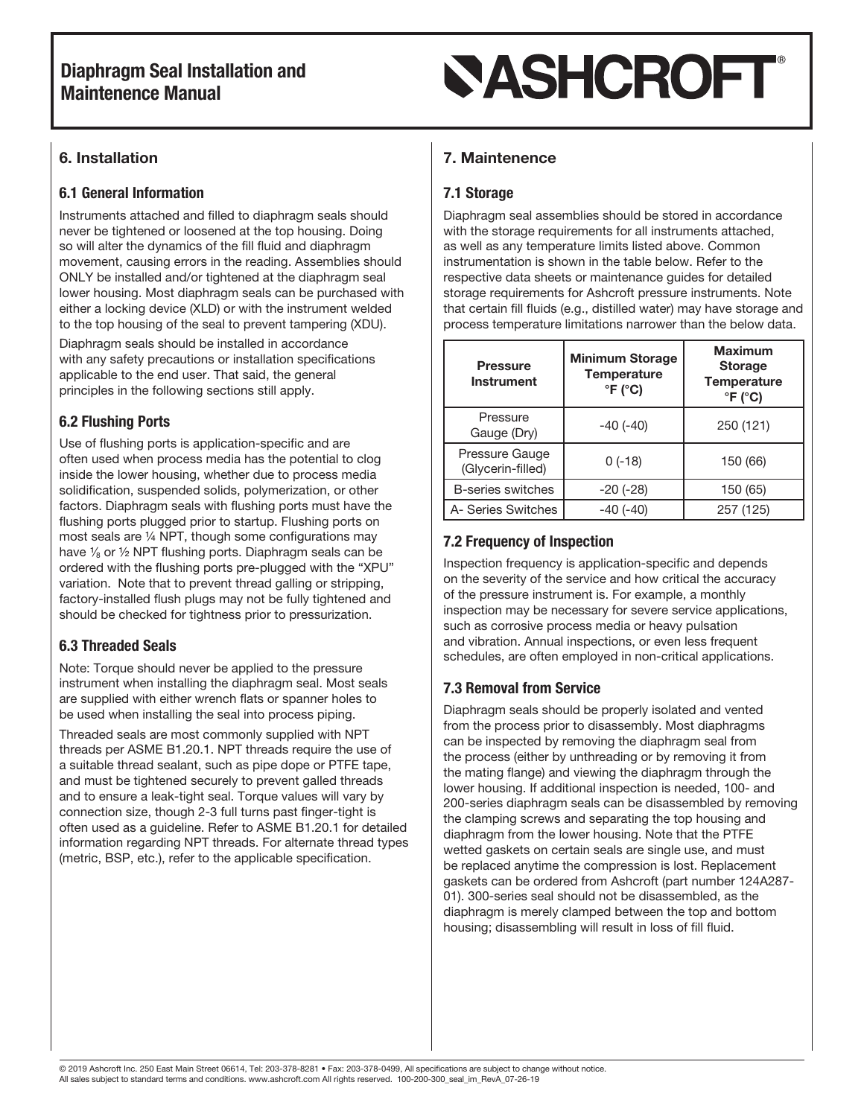# **SASHCROFT®**

## 6. Installation

### 6.1 General Information

Instruments attached and filled to diaphragm seals should never be tightened or loosened at the top housing. Doing so will alter the dynamics of the fill fluid and diaphragm movement, causing errors in the reading. Assemblies should ONLY be installed and/or tightened at the diaphragm seal lower housing. Most diaphragm seals can be purchased with either a locking device (XLD) or with the instrument welded to the top housing of the seal to prevent tampering (XDU).

Diaphragm seals should be installed in accordance with any safety precautions or installation specifications applicable to the end user. That said, the general principles in the following sections still apply.

## 6.2 Flushing Ports

Use of flushing ports is application-specific and are often used when process media has the potential to clog inside the lower housing, whether due to process media solidification, suspended solids, polymerization, or other factors. Diaphragm seals with flushing ports must have the flushing ports plugged prior to startup. Flushing ports on most seals are ¼ NPT, though some configurations may have  $\frac{1}{8}$  or  $\frac{1}{2}$  NPT flushing ports. Diaphragm seals can be ordered with the flushing ports pre-plugged with the "XPU" variation. Note that to prevent thread galling or stripping, factory-installed flush plugs may not be fully tightened and should be checked for tightness prior to pressurization.

### 6.3 Threaded Seals

Note: Torque should never be applied to the pressure instrument when installing the diaphragm seal. Most seals are supplied with either wrench flats or spanner holes to be used when installing the seal into process piping.

Threaded seals are most commonly supplied with NPT threads per ASME B1.20.1. NPT threads require the use of a suitable thread sealant, such as pipe dope or PTFE tape, and must be tightened securely to prevent galled threads and to ensure a leak-tight seal. Torque values will vary by connection size, though 2-3 full turns past finger-tight is often used as a guideline. Refer to ASME B1.20.1 for detailed information regarding NPT threads. For alternate thread types (metric, BSP, etc.), refer to the applicable specification.

## 7. Maintenence

## 7.1 Storage

Diaphragm seal assemblies should be stored in accordance with the storage requirements for all instruments attached, as well as any temperature limits listed above. Common instrumentation is shown in the table below. Refer to the respective data sheets or maintenance guides for detailed storage requirements for Ashcroft pressure instruments. Note that certain fill fluids (e.g., distilled water) may have storage and process temperature limitations narrower than the below data.

| <b>Pressure</b><br><b>Instrument</b> | <b>Minimum Storage</b><br><b>Temperature</b><br>$\degree$ F ( $\degree$ C) | <b>Maximum</b><br><b>Storage</b><br><b>Temperature</b><br>$\degree$ F ( $\degree$ C) |
|--------------------------------------|----------------------------------------------------------------------------|--------------------------------------------------------------------------------------|
| Pressure<br>Gauge (Dry)              | $-40(-40)$                                                                 | 250 (121)                                                                            |
| Pressure Gauge<br>(Glycerin-filled)  | $0(-18)$                                                                   | 150 (66)                                                                             |
| B-series switches                    | $-20$ $(-28)$                                                              | 150 (65)                                                                             |
| A- Series Switches                   | $-40(-40)$                                                                 | 257 (125)                                                                            |

### 7.2 Frequency of Inspection

Inspection frequency is application-specific and depends on the severity of the service and how critical the accuracy of the pressure instrument is. For example, a monthly inspection may be necessary for severe service applications, such as corrosive process media or heavy pulsation and vibration. Annual inspections, or even less frequent schedules, are often employed in non-critical applications.

### 7.3 Removal from Service

Diaphragm seals should be properly isolated and vented from the process prior to disassembly. Most diaphragms can be inspected by removing the diaphragm seal from the process (either by unthreading or by removing it from the mating flange) and viewing the diaphragm through the lower housing. If additional inspection is needed, 100- and 200-series diaphragm seals can be disassembled by removing the clamping screws and separating the top housing and diaphragm from the lower housing. Note that the PTFE wetted gaskets on certain seals are single use, and must be replaced anytime the compression is lost. Replacement gaskets can be ordered from Ashcroft (part number 124A287- 01). 300-series seal should not be disassembled, as the diaphragm is merely clamped between the top and bottom housing; disassembling will result in loss of fill fluid.